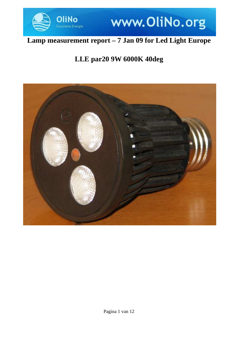

## www.OliNo.org

## **Lamp measurement report – 7 Jan 09 for Led Light Europe**

## **LLE par20 9W 6000K 40deg**

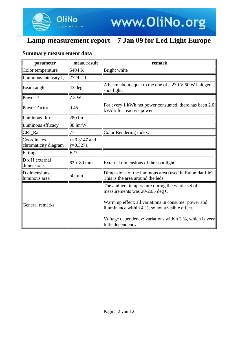

### **Summary measurement data**

.<br>Energie

| parameter                           | meas. result                 | remark                                                                                                                                                                                                                                                     |
|-------------------------------------|------------------------------|------------------------------------------------------------------------------------------------------------------------------------------------------------------------------------------------------------------------------------------------------------|
| Color temperature                   | 6404 K                       | Bright white                                                                                                                                                                                                                                               |
| Luminous intensity $I_v$            | 2724 Cd                      |                                                                                                                                                                                                                                                            |
| Beam angle                          | $43$ deg                     | A beam about equal to the one of a 230 V 50 W halogen<br>spot light.                                                                                                                                                                                       |
| Power P                             | 7.5 W                        |                                                                                                                                                                                                                                                            |
| <b>Power Factor</b>                 | 0.45                         | For every 1 kWh net power consumed, there has been 2.0<br>kVAhr for reactive power.                                                                                                                                                                        |
| Luminous flux                       | 280 lm                       |                                                                                                                                                                                                                                                            |
| Luminous efficacy                   | 38 lm/W                      |                                                                                                                                                                                                                                                            |
| CRI_Ra                              | 77                           | Color Rendering Index.                                                                                                                                                                                                                                     |
| Coordinates<br>chromaticity diagram | $x=0.3147$ and<br>$y=0.3271$ |                                                                                                                                                                                                                                                            |
| Fitting                             | E27                          |                                                                                                                                                                                                                                                            |
| D x H external<br>dimensions        | 63 x 89 mm                   | External dimensions of the spot light.                                                                                                                                                                                                                     |
| D dimensions<br>luminous area       | 50 mm                        | Dimensions of the luminous area (used in Eulumdat file).<br>This is the area around the leds.                                                                                                                                                              |
| General remarks                     |                              | The ambient temperature during the whole set of<br>measurements was 20-20.5 deg C.<br>Warm up effect: all variations in consumer power and<br>illuminance within 4 %, so not a visible effect.<br>Voltage dependency: variations within 3 %, which is very |
|                                     |                              | little dependency.                                                                                                                                                                                                                                         |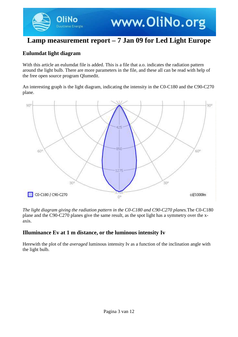www.OliNo.org

### **Eulumdat light diagram**

Duurzame Energie

With this article an eulumdat file is added. This is a file that a.o. indicates the radiation pattern around the light bulb. There are more parameters in the file, and these all can be read with help of the free open source program Qlumedit.

An interesting graph is the light diagram, indicating the intensity in the C0-C180 and the C90-C270 plane.



*The light diagram giving the radiation pattern in the C0-C180 and C90-C270 planes.*The C0-C180 plane and the C90-C270 planes give the same result, as the spot light has a symmetry over the xaxis.

### **Illuminance Ev at 1 m distance, or the luminous intensity Iv**

Herewith the plot of the *averaged* luminous intensity Iv as a function of the inclination angle with the light bulb.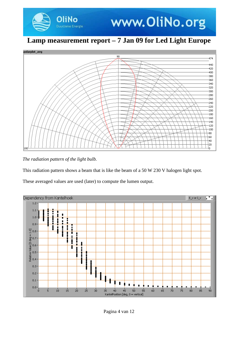



*The radiation pattern of the light bulb.*

This radiation pattern shows a beam that is like the beam of a 50 W 230 V halogen light spot.

These averaged values are used (later) to compute the lumen output.

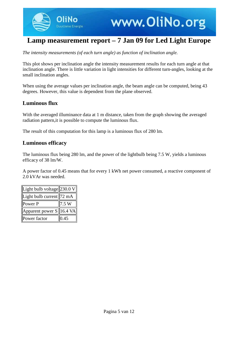

*The intensity measurements (of each turn angle) as function of inclination angle.*

This plot shows per inclination angle the intensity measurement results for each turn angle at that inclination angle. There is little variation in light intensities for different turn-angles, looking at the small inclination angles.

When using the average values per inclination angle, the beam angle can be computed, being 43 degrees. However, this value is dependent from the plane observed.

### **Luminous flux**

With the averaged illuminance data at 1 m distance, taken from the graph showing the averaged radiation pattern,it is possible to compute the luminous flux.

The result of this computation for this lamp is a luminous flux of 280 lm.

### **Luminous efficacy**

The luminous flux being 280 lm, and the power of the lightbulb being 7.5 W, yields a luminous efficacy of 38 lm/W.

A power factor of 0.45 means that for every 1 kWh net power consumed, a reactive component of 2.0 kVAr was needed.

| Light bulb voltage $ 230.0 V $ |      |
|--------------------------------|------|
| Light bulb current   72 mA     |      |
| Power P                        | 7.5W |
| Apparent power $S$   16.4 VA   |      |
| Power factor                   | 0.45 |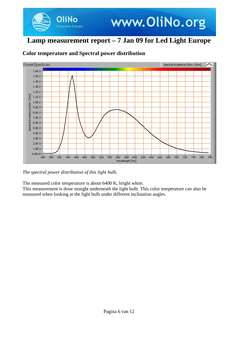



### **Color temperature and Spectral power distribution**

*The spectral power distribution of this light bulb.*

The measured color temperature is about 6400 K, bright white.

This measurement is done straight underneath the light bulb. This color temperature can also be measured when looking at the light bulb under different inclination angles.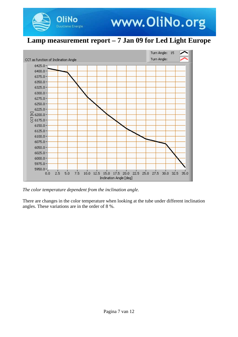

*The color temperature dependent from the inclination angle.*

**OliNo** 

There are changes in the color temperature when looking at the tube under different inclination angles. These variations are in the order of 8 %.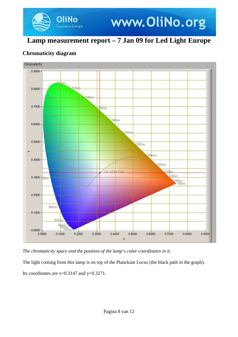# www.OliNo.org

## **Lamp measurement report – 7 Jan 09 for Led Light Europe**

### **Chromaticity diagram**

**liNo** Duurzame Energie



*The chromaticity space and the position of the lamp's color coordinates in it.*

The light coming from this lamp is on top of the Planckian Locus (the black path in the graph). Its coordinates are  $x=0.3147$  and  $y=0.3271$ .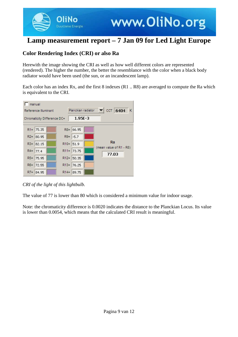

### **Color Rendering Index (CRI) or also Ra**

Herewith the image showing the CRI as well as how well different colors are represented (rendered). The higher the number, the better the resemblance with the color when a black body radiator would have been used (the sun, or an incandescent lamp).

Each color has an index Rx, and the first 8 indexes (R1 .. R8) are averaged to compute the Ra which is equivalent to the CRI.



*CRI of the light of this lightbulb.*

The value of 77 is lower than 80 which is considered a minimum value for indoor usage.

Note: the chromaticity difference is 0.0020 indicates the distance to the Planckian Locus. Its value is lower than 0.0054, which means that the calculated CRI result is meaningful.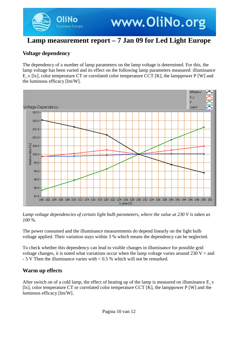www.OliNo.org

### **Voltage dependency**

The dependency of a number of lamp parameters on the lamp voltage is determined. For this, the lamp voltage has been varied and its effect on the following lamp parameters measured: illuminance E\_v [lx], color temperature CT or correlated color temperature CCT [K], the lamppower P [W] and the luminous efficacy [lm/W].



*Lamp voltage dependencies of certain light bulb parameters, where the value at 230 V is taken as 100 %.*

The power consumed and the illuminance measurements do depend linearly on the light bulb voltage applied. Their variation stays within 3 % which means the dependency can be neglected.

To check whether this dependency can lead to visible changes in illuminance for possible grid voltage changes, it is noted what variations occur when the lamp voltage varies around  $230 V +$  and - 5 V Then the illuminance varies with < 0.5 % which will not be remarked.

### **Warm up effects**

After switch on of a cold lamp, the effect of heating up of the lamp is measured on illuminance E\_v [lx], color temperature CT or correlated color temperature CCT [K], the lamppower P [W] and the luminous efficacy [lm/W].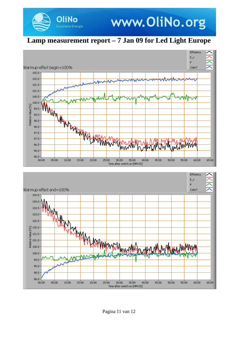

**OliNo** 

Duurzame Energie